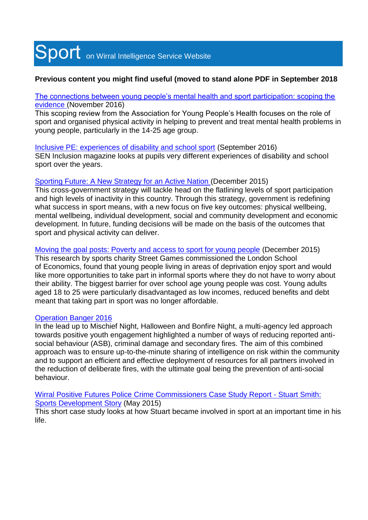# Sport on Wirral Intelligence Service Website

# **Previous content you might find useful (moved to stand alone PDF in September 2018**

[The connections between young people's mental health and sport participation: scoping the](https://www.wirralintelligenceservice.org/media/1743/ayph-health-and-sport-review-nov-2016.pdf)  [evidence](https://www.wirralintelligenceservice.org/media/1743/ayph-health-and-sport-review-nov-2016.pdf) (November 2016)

This scoping review from the Association for Young People's Health focuses on the role of sport and organised physical activity in helping to prevent and treat mental health problems in young people, particularly in the 14-25 age group.

Inclusive PE: [experiences of disability and school sport](https://senmagazine.co.uk/home/articles/senarticles-2/inclusive-pe) (September 2016) SEN Inclusion magazine looks at pupils very different experiences of disability and school sport over the years.

# Sporting Future: [A New Strategy for an Active Nation](https://www.wirralintelligenceservice.org/media/1750/sporting_future_accessible.pdf) (December 2015)

This cross-government strategy will tackle head on the flatlining levels of sport participation and high levels of inactivity in this country. Through this strategy, government is redefining what success in sport means, with a new focus on five key outcomes: physical wellbeing, mental wellbeing, individual development, social and community development and economic development. In future, funding decisions will be made on the basis of the outcomes that sport and physical activity can deliver.

[Moving the goal posts: Poverty and access to sport for young people](https://www.wirralintelligenceservice.org/media/1747/moving-the-goal-posts-poverty-and-access-to-sport-for-young-people.pdf) (December 2015) This research by sports charity Street Games commissioned the London School of Economics, found that young people living in areas of deprivation enjoy sport and would like more opportunities to take part in informal sports where they do not have to worry about their ability. The biggest barrier for over school age young people was cost. Young adults aged 18 to 25 were particularly disadvantaged as low incomes, reduced benefits and debt meant that taking part in sport was no longer affordable.

# [Operation Banger 2016](https://www.wirralintelligenceservice.org/media/1748/operation-banger-2016-case-study.pdf)

In the lead up to Mischief Night, Halloween and Bonfire Night, a multi-agency led approach towards positive youth engagement highlighted a number of ways of reducing reported antisocial behaviour (ASB), criminal damage and secondary fires. The aim of this combined approach was to ensure up-to-the-minute sharing of intelligence on risk within the community and to support an efficient and effective deployment of resources for all partners involved in the reduction of deliberate fires, with the ultimate goal being the prevention of anti-social behaviour.

[Wirral Positive Futures Police Crime Commissioners Case Study Report](https://www.wirralintelligenceservice.org/media/1744/case-study-stuart-smith-final-with-pics-pcc.pdf) - [Stuart Smith:](https://www.wirralintelligenceservice.org/media/1744/case-study-stuart-smith-final-with-pics-pcc.pdf)  [Sports Development Story](https://www.wirralintelligenceservice.org/media/1744/case-study-stuart-smith-final-with-pics-pcc.pdf) (May 2015)

This short case study looks at how Stuart became involved in sport at an important time in his life.